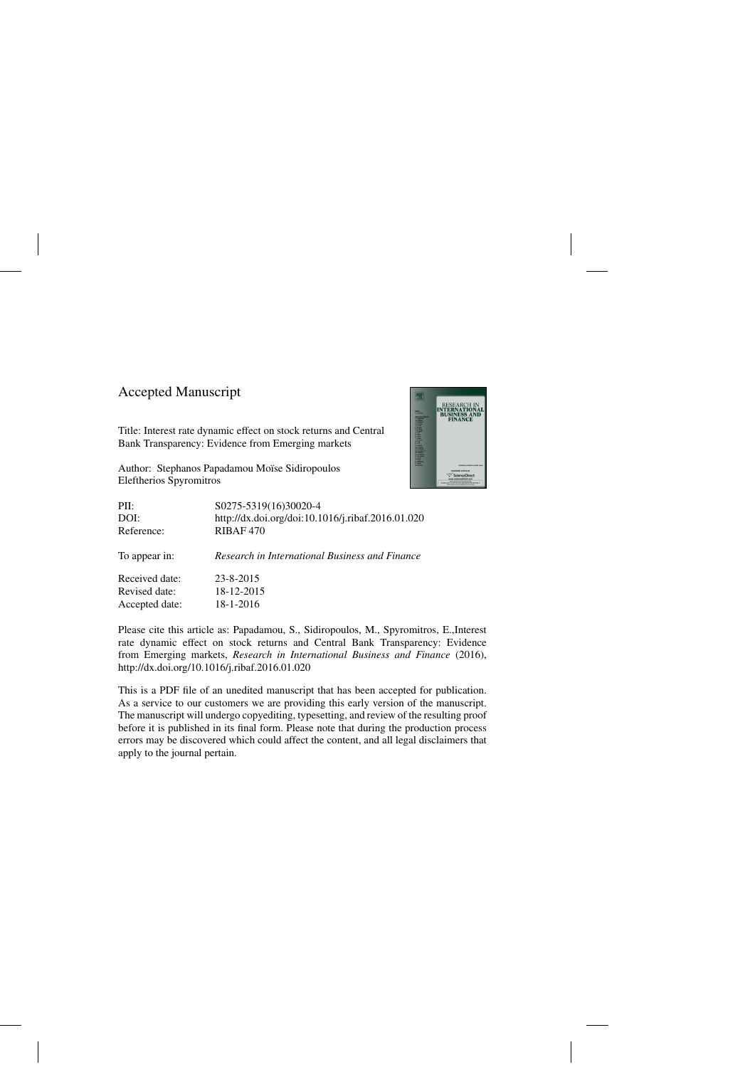### Accepted Manuscript

Title: Interest rate dynamic effect on stock returns and Central Bank Transparency: Evidence from Emerging markets

Author: Stephanos Papadamou Moïse Sidiropoulos Eleftherios Spyromitros



| PII:           | S0275-5319(16)30020-4                             |
|----------------|---------------------------------------------------|
| DOI:           | http://dx.doi.org/doi:10.1016/j.ribaf.2016.01.020 |
| Reference:     | RIBAF <sub>470</sub>                              |
| To appear in:  | Research in International Business and Finance    |
| Received date: | 23-8-2015                                         |
| Revised date:  | 18-12-2015                                        |
| Accepted date: | 18-1-2016                                         |

Please cite this article as: Papadamou, S., Sidiropoulos, M., Spyromitros, E.,Interest rate dynamic effect on stock returns and Central Bank Transparency: Evidence from Emerging markets, *Research in International Business and Finance* (2016), <http://dx.doi.org/10.1016/j.ribaf.2016.01.020>

This is a PDF file of an unedited manuscript that has been accepted for publication. As a service to our customers we are providing this early version of the manuscript. The manuscript will undergo copyediting, typesetting, and review of the resulting proof before it is published in its final form. Please note that during the production process errors may be discovered which could affect the content, and all legal disclaimers that apply to the journal pertain.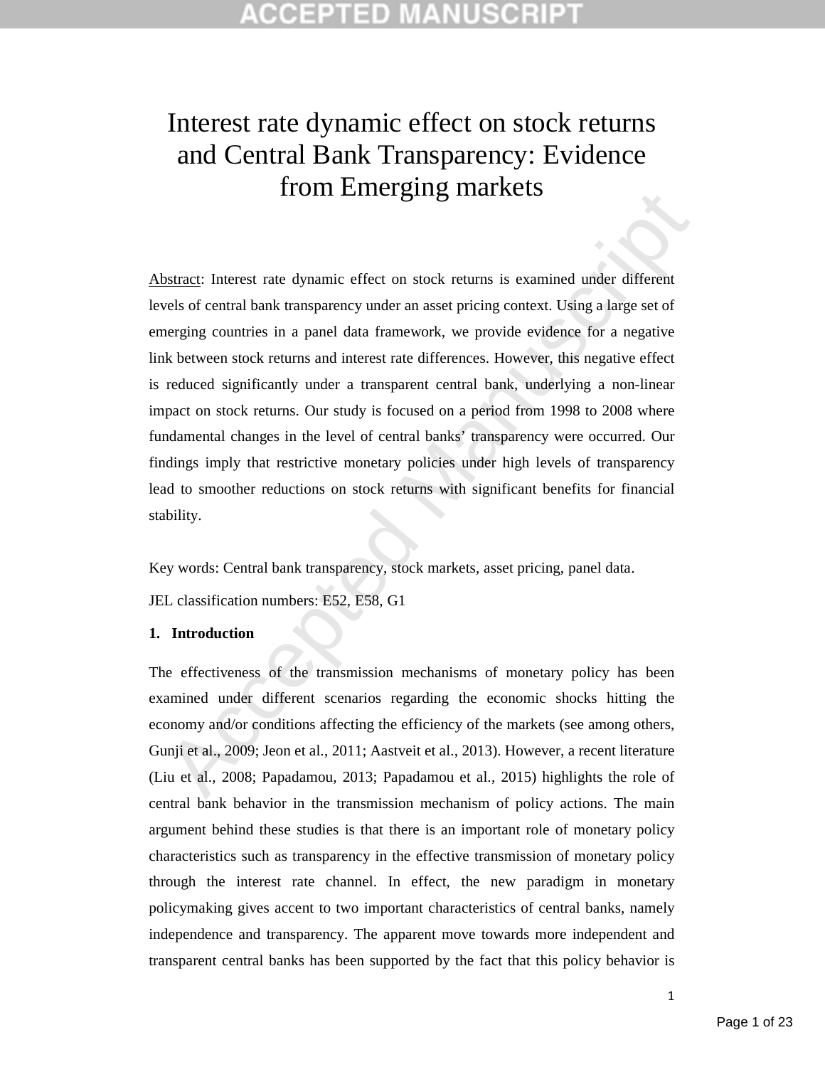## COEPTED

# Interest rate dynamic effect on stock returns and Central Bank Transparency: Evidence from Emerging markets

**EXECUTE:** INCREDIBYTIME INTERTS INTERTS INTERTS UNITED STATES UNITED STATES (THERE THERE THE USE) SIMPLE THE USE SERVICE USE THE USE OF THE USE OF THE USE OF THE USE OF THE USE OF THE USE OF THE USE OF THE USE OF THE USE Abstract: Interest rate dynamic effect on stock returns is examined under different levels of central bank transparency under an asset pricing context. Using a large set of emerging countries in a panel data framework, we provide evidence for a negative link between stock returns and interest rate differences. However, this negative effect is reduced significantly under a transparent central bank, underlying a non-linear impact on stock returns. Our study is focused on a period from 1998 to 2008 where fundamental changes in the level of central banks' transparency were occurred. Our findings imply that restrictive monetary policies under high levels of transparency lead to smoother reductions on stock returns with significant benefits for financial stability.

Key words: Central bank transparency, stock markets, asset pricing, panel data.

JEL classification numbers: E52, E58, G1

#### **1. Introduction**

The effectiveness of the transmission mechanisms of monetary policy has been examined under different scenarios regarding the economic shocks hitting the economy and/or conditions affecting the efficiency of the markets (see among others, Gunji et al., 2009; Jeon et al., 2011; Aastveit et al., 2013). However, a recent literature (Liu et al., 2008; Papadamou, 2013; Papadamou et al., 2015) highlights the role of central bank behavior in the transmission mechanism of policy actions. The main argument behind these studies is that there is an important role of monetary policy characteristics such as transparency in the effective transmission of monetary policy through the interest rate channel. In effect, the new paradigm in monetary policymaking gives accent to two important characteristics of central banks, namely independence and transparency. The apparent move towards more independent and transparent central banks has been supported by the fact that this policy behavior is